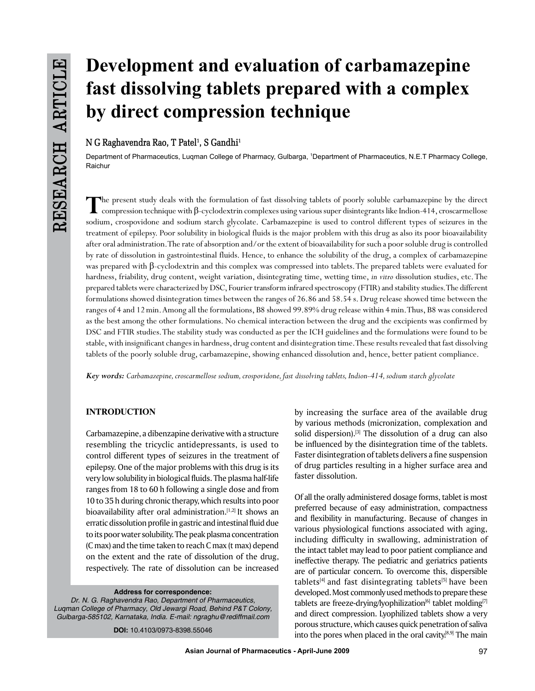# **Development and evaluation of carbamazepine fast dissolving tablets prepared with a complex by direct compression technique**

# $N G$  Raghavendra Rao, T Patel<sup>1</sup>, S Gandhi<sup>1</sup>

Department of Pharmaceutics, Luqman College of Pharmacy, Gulbarga, <sup>1</sup> Department of Pharmaceutics, N.E.T Pharmacy College, Raichur

**T**he present study deals with the formulation of fast dissolving tablets of poorly soluble carbamazepine by the direct compression technique with β-cyclodextrin complexes using various super disintegrants like Indion-414, croscarmellose sodium, crospovidone and sodium starch glycolate. Carbamazepine is used to control different types of seizures in the treatment of epilepsy. Poor solubility in biological fluids is the major problem with this drug as also its poor bioavailability after oral administration. The rate of absorption and/or the extent of bioavailability for such a poor soluble drug is controlled by rate of dissolution in gastrointestinal fluids. Hence, to enhance the solubility of the drug, a complex of carbamazepine was prepared with β-cyclodextrin and this complex was compressed into tablets. The prepared tablets were evaluated for hardness, friability, drug content, weight variation, disintegrating time, wetting time, *in vitro* dissolution studies, etc. The prepared tablets were characterized by DSC, Fourier transform infrared spectroscopy (FTIR) and stability studies. The different formulations showed disintegration times between the ranges of 26.86 and 58.54 s. Drug release showed time between the ranges of 4 and 12min. Among all the formulations, B8 showed 99.89% drug release within 4min. Thus, B8 was considered as the best among the other formulations. No chemical interaction between the drug and the excipients was confirmed by DSC and FTIR studies. The stability study was conducted as per the ICH guidelines and the formulations were found to be stable, with insignificant changes in hardness, drug content and disintegration time. These results revealed that fast dissolving tablets of the poorly soluble drug, carbamazepine, showing enhanced dissolution and, hence, better patient compliance.

*Key words: Carbamazepine, croscarmellose sodium, crospovidone, fast dissolving tablets, Indion-414, sodium starch glycolate*

# **INTRODUCTION**

Carbamazepine, a dibenzapine derivative with a structure resembling the tricyclic antidepressants, is used to control different types of seizures in the treatment of epilepsy. One of the major problems with this drug is its very low solubility in biological fluids. The plasma half-life ranges from 18 to 60 h following a single dose and from 10 to 35 h during chronic therapy, which results into poor bioavailability after oral administration.<sup>[1,2]</sup> It shows an erratic dissolution profile in gastric and intestinal fluid due to its poor water solubility. The peak plasma concentration (C max) and the time taken to reach C max (t max) depend on the extent and the rate of dissolution of the drug, respectively. The rate of dissolution can be increased

**Address for correspondence:**

*Dr. N. G. Raghavendra Rao, Department of Pharmaceutics, Luqman College of Pharmacy, Old Jewargi Road, Behind P&T Colony, Gulbarga-585102, Karnataka, India. E-mail: ngraghu@rediffmail.com*

**DOI:** 10.4103/0973-8398.55046

by increasing the surface area of the available drug by various methods (micronization, complexation and solid dispersion). $[3]$  The dissolution of a drug can also be influenced by the disintegration time of the tablets. Faster disintegration of tablets delivers a fine suspension of drug particles resulting in a higher surface area and faster dissolution.

Of all the orally administered dosage forms, tablet is most preferred because of easy administration, compactness and flexibility in manufacturing. Because of changes in various physiological functions associated with aging, including difficulty in swallowing, administration of the intact tablet may lead to poor patient compliance and ineffective therapy. The pediatric and geriatrics patients are of particular concern. To overcome this, dispersible tablets<sup>[4]</sup> and fast disintegrating tablets<sup>[5]</sup> have been developed. Most commonly used methods to prepare these tablets are freeze-drying/lyophilization $[6]$  tablet molding $[7]$ and direct compression. Lyophilized tablets show a very porous structure, which causes quick penetration of saliva into the pores when placed in the oral cavity.<sup>[8,9]</sup> The main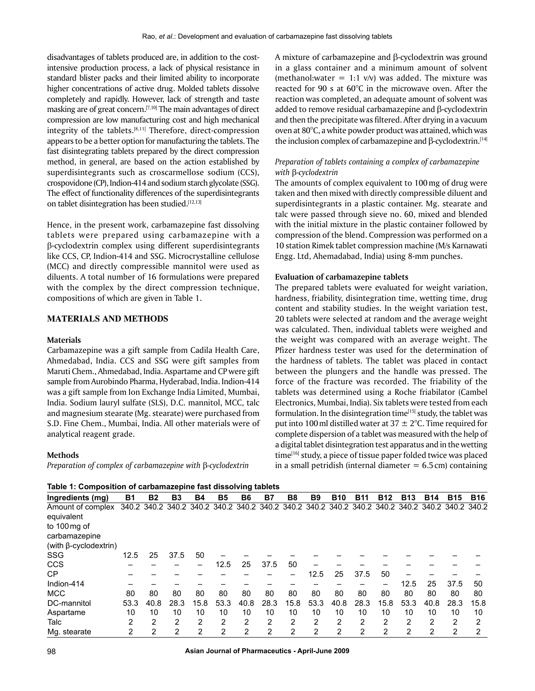disadvantages of tablets produced are, in addition to the costintensive production process, a lack of physical resistance in standard blister packs and their limited ability to incorporate higher concentrations of active drug. Molded tablets dissolve completely and rapidly. However, lack of strength and taste masking are of great concern.[7,10] The main advantages of direct compression are low manufacturing cost and high mechanical integrity of the tablets. $[8,11]$  Therefore, direct-compression appears to be a better option for manufacturing the tablets. The fast disintegrating tablets prepared by the direct compression method, in general, are based on the action established by superdisintegrants such as croscarmellose sodium (CCS), crospovidone (CP), Indion-414 and sodium starch glycolate (SSG). The effect of functionality differences of the superdisintegrants on tablet disintegration has been studied.[12,13]

Hence, in the present work, carbamazepine fast dissolving tablets were prepared using carbamazepine with a β-cyclodextrin complex using different superdisintegrants like CCS, CP, Indion-414 and SSG. Microcrystalline cellulose (MCC) and directly compressible mannitol were used as diluents. A total number of 16 formulations were prepared with the complex by the direct compression technique, compositions of which are given in Table 1.

## **MATERIALS AND METHODS**

#### **Materials**

Carbamazepine was a gift sample from Cadila Health Care, Ahmedabad, India. CCS and SSG were gift samples from Maruti Chem., Ahmedabad, India. Aspartame and CP were gift sample from Aurobindo Pharma, Hyderabad, India. Indion-414 was a gift sample from Ion Exchange India Limited, Mumbai, India. Sodium lauryl sulfate (SLS), D.C. mannitol, MCC, talc and magnesium stearate (Mg. stearate) were purchased from S.D. Fine Chem., Mumbai, India. All other materials were of analytical reagent grade.

#### **Methods**

*Preparation of complex of carbamazepine with* β*-cyclodextrin*

A mixture of carbamazepine and β-cyclodextrin was ground in a glass container and a minimum amount of solvent (methanol:water = 1:1 v/v) was added. The mixture was reacted for 90 s at 60°C in the microwave oven. After the reaction was completed, an adequate amount of solvent was added to remove residual carbamazepine and β-cyclodextrin and then the precipitate was filtered. After drying in a vacuum oven at 80°C, a white powder product was attained, which was the inclusion complex of carbamazepine and β-cyclodextrin.<sup>[14]</sup>

## *Preparation of tablets containing a complex of carbamazepine with* β*-cyclodextrin*

The amounts of complex equivalent to 100mg of drug were taken and then mixed with directly compressible diluent and superdisintegrants in a plastic container. Mg. stearate and talc were passed through sieve no. 60, mixed and blended with the initial mixture in the plastic container followed by compression of the blend. Compression was performed on a 10 station Rimek tablet compression machine (M/s Karnawati Engg. Ltd, Ahemadabad, India) using 8-mm punches.

#### **Evaluation of carbamazepine tablets**

The prepared tablets were evaluated for weight variation, hardness, friability, disintegration time, wetting time, drug content and stability studies. In the weight variation test, 20 tablets were selected at random and the average weight was calculated. Then, individual tablets were weighed and the weight was compared with an average weight. The Pfizer hardness tester was used for the determination of the hardness of tablets. The tablet was placed in contact between the plungers and the handle was pressed. The force of the fracture was recorded. The friability of the tablets was determined using a Roche friabilator (Cambel Electronics, Mumbai, India). Six tablets were tested from each formulation. In the disintegration time $[15]$  study, the tablet was put into 100 ml distilled water at  $37 \pm 2$ °C. Time required for complete dispersion of a tablet was measured with the help of a digital tablet disintegration test apparatus and in the wetting time<sup>[16]</sup> study, a piece of tissue paper folded twice was placed in a small petridish (internal diameter  $= 6.5$  cm) containing

| Table 1: Composition of carbamazepine fast dissolving tablets |           |              |                |                |           |           |                |                |                                                                                                 |              |                |                |            |            |            |            |
|---------------------------------------------------------------|-----------|--------------|----------------|----------------|-----------|-----------|----------------|----------------|-------------------------------------------------------------------------------------------------|--------------|----------------|----------------|------------|------------|------------|------------|
| Ingredients (mg)                                              | <b>B1</b> | <b>B2</b>    | B <sub>3</sub> | <b>B4</b>      | <b>B5</b> | <b>B6</b> | <b>B7</b>      | B <sub>8</sub> | <b>B9</b>                                                                                       | <b>B10</b>   | <b>B11</b>     | <b>B12</b>     | <b>B13</b> | <b>B14</b> | <b>B15</b> | <b>B16</b> |
| Amount of complex<br>equivalent<br>to 100 mg of               |           |              |                |                |           |           |                |                | 340.2 340.2 340.2 340.2 340.2 340.2 340.2 340.2 340.2 340.2 340.2 340.2 340.2 340.2 340.2 340.2 |              |                |                |            |            |            |            |
| carbamazepine                                                 |           |              |                |                |           |           |                |                |                                                                                                 |              |                |                |            |            |            |            |
| (with $\beta$ -cyclodextrin)                                  |           |              |                |                |           |           |                |                |                                                                                                 |              |                |                |            |            |            |            |
| <b>SSG</b>                                                    | 12.5      | 25           | 37.5           | 50             |           |           |                |                |                                                                                                 |              |                |                |            |            |            |            |
| <b>CCS</b>                                                    |           |              |                |                | 12.5      | 25        | 37.5           | 50             |                                                                                                 |              |                |                |            |            |            |            |
| CP                                                            |           |              |                |                |           |           |                |                | 12.5                                                                                            | 25           | 37.5           | 50             |            |            |            |            |
| Indion-414                                                    |           |              |                |                |           |           |                |                |                                                                                                 |              |                |                | 12.5       | 25         | 37.5       | 50         |
| <b>MCC</b>                                                    | 80        | 80           | 80             | 80             | 80        | 80        | 80             | 80             | 80                                                                                              | 80           | 80             | 80             | 80         | 80         | 80         | 80         |
| DC-mannitol                                                   | 53.3      | 40.8         | 28.3           | 15.8           | 53.3      | 40.8      | 28.3           | 15.8           | 53.3                                                                                            | 40.8         | 28.3           | 15.8           | 53.3       | 40.8       | 28.3       | 15.8       |
| Aspartame                                                     | 10        | 10           | 10             | 10             | 10        | 10        | 10             | 10             | 10                                                                                              | 10           | 10             | 10             | 10         | 10         | 10         | 10         |
| Talc                                                          | 2         | 2            | 2              | 2              | 2         | 2         | 2              | 2              | $\overline{2}$                                                                                  | 2            | 2              | 2              | 2          | 2          | 2          | 2          |
| Mg. stearate                                                  | 2         | $\mathbf{2}$ | $\overline{2}$ | $\overline{2}$ | 2         | 2         | $\overline{2}$ | $\overline{2}$ | 2                                                                                               | $\mathbf{2}$ | $\overline{2}$ | $\overline{2}$ | 2          | 2          | 2          | 2          |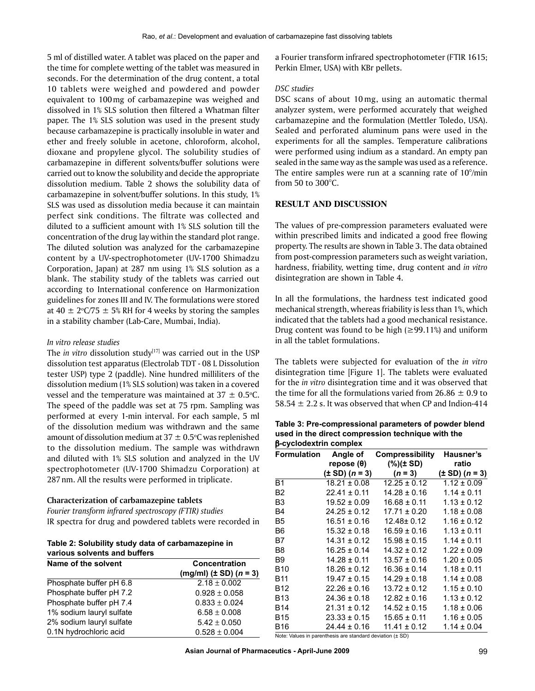5 ml of distilled water. A tablet was placed on the paper and the time for complete wetting of the tablet was measured in seconds. For the determination of the drug content, a total 10 tablets were weighed and powdered and powder equivalent to 100mg of carbamazepine was weighed and dissolved in 1% SLS solution then filtered a Whatman filter paper. The 1% SLS solution was used in the present study because carbamazepine is practically insoluble in water and ether and freely soluble in acetone, chloroform, alcohol, dioxane and propylene glycol. The solubility studies of carbamazepine in different solvents/buffer solutions were carried out to know the solubility and decide the appropriate dissolution medium. Table 2 shows the solubility data of carbamazepine in solvent/buffer solutions. In this study, 1% SLS was used as dissolution media because it can maintain perfect sink conditions. The filtrate was collected and diluted to a sufficient amount with 1% SLS solution till the concentration of the drug lay within the standard plot range. The diluted solution was analyzed for the carbamazepine content by a UV-spectrophotometer (UV-1700 Shimadzu Corporation, Japan) at 287 nm using 1% SLS solution as a blank. The stability study of the tablets was carried out according to International conference on Harmonization guidelines for zones III and IV. The formulations were stored at 40  $\pm$  2°C/75  $\pm$  5% RH for 4 weeks by storing the samples in a stability chamber (Lab-Care, Mumbai, India).

#### *in vitro release studies*

The *in vitro* dissolution study<sup>[17]</sup> was carried out in the USP dissolution test apparatus (Electrolab TDT - 08 L Dissolution tester USP) type 2 (paddle). Nine hundred milliliters of the dissolution medium (1% SLS solution) was taken in a covered vessel and the temperature was maintained at  $37 \pm 0.5^{\circ}$ C. The speed of the paddle was set at 75 rpm. Sampling was performed at every 1-min interval. For each sample, 5 ml of the dissolution medium was withdrawn and the same amount of dissolution medium at  $37 \pm 0.5$ °C was replenished to the dissolution medium. The sample was withdrawn and diluted with 1% SLS solution and analyzed in the UV spectrophotometer (UV-1700 Shimadzu Corporation) at 287nm. All the results were performed in triplicate.

#### **Characterization of carbamazepine tablets**

*Fourier transform infrared spectroscopy (FTIR) studies* IR spectra for drug and powdered tablets were recorded in

**Table 2: Solubility study data of carbamazepine in various solvents and buffers**

| Name of the solvent      | Concentration                      |  |  |  |
|--------------------------|------------------------------------|--|--|--|
|                          | (mg/ml) $(\pm SD)$ ( <i>n</i> = 3) |  |  |  |
| Phosphate buffer pH 6.8  | $2.18 \pm 0.002$                   |  |  |  |
| Phosphate buffer pH 7.2  | $0.928 \pm 0.058$                  |  |  |  |
| Phosphate buffer pH 7.4  | $0.833 \pm 0.024$                  |  |  |  |
| 1% sodium lauryl sulfate | $6.58 \pm 0.008$                   |  |  |  |
| 2% sodium lauryl sulfate | $5.42 \pm 0.050$                   |  |  |  |
| 0.1N hydrochloric acid   | $0.528 \pm 0.004$                  |  |  |  |

a Fourier transform infrared spectrophotometer (FTIR 1615; Perkin Elmer, USA) with KBr pellets.

#### *DSC studies*

DSC scans of about 10 mg, using an automatic thermal analyzer system, were performed accurately that weighed carbamazepine and the formulation (Mettler Toledo, USA). Sealed and perforated aluminum pans were used in the experiments for all the samples. Temperature calibrations were performed using indium as a standard. An empty pan sealed in the same way as the sample was used as a reference. The entire samples were run at a scanning rate of 10°/min from 50 to 300°C.

## **RESULT AND DISCUSSION**

The values of pre-compression parameters evaluated were within prescribed limits and indicated a good free flowing property. The results are shown in Table 3. The data obtained from post-compression parameters such as weight variation, hardness, friability, wetting time, drug content and *in vitro* disintegration are shown in Table 4.

In all the formulations, the hardness test indicated good mechanical strength, whereas friability is less than 1%, which indicated that the tablets had a good mechanical resistance. Drug content was found to be high  $(\geq 99.11\%)$  and uniform in all the tablet formulations.

The tablets were subjected for evaluation of the *in vitro* disintegration time [Figure 1]. The tablets were evaluated for the *in vitro* disintegration time and it was observed that the time for all the formulations varied from  $26.86 \pm 0.9$  to 58.54  $\pm$  2.2 s. It was observed that when CP and Indion-414

**Table 3: Pre-compressional parameters of powder blend used in the direct compression technique with the**  b**-cyclodextrin complex**

| <b>Formulation</b> | Angle of                   | Compressibility  | Hausner's                  |
|--------------------|----------------------------|------------------|----------------------------|
|                    | repose (θ)                 | (%)(± SD)        | ratio                      |
|                    | $(\pm SD)$ ( <i>n</i> = 3) | $(n = 3)$        | $(\pm SD)$ ( <i>n</i> = 3) |
| <b>B1</b>          | $18.21 \pm 0.08$           | $12.25 \pm 0.12$ | $1.12 \pm 0.09$            |
| <b>B2</b>          | $22.41 \pm 0.11$           | $14.28 \pm 0.16$ | $1.14 \pm 0.11$            |
| B3                 | $19.52 \pm 0.09$           | $16.68 \pm 0.11$ | $1.13 \pm 0.12$            |
| B4                 | $24.25 \pm 0.12$           | $17.71 \pm 0.20$ | $1.18 \pm 0.08$            |
| B <sub>5</sub>     | $16.51 \pm 0.16$           | $12.48 \pm 0.12$ | $1.16 \pm 0.12$            |
| B <sub>6</sub>     | $15.32 \pm 0.18$           | $16.59 \pm 0.16$ | $1.13 \pm 0.11$            |
| B7                 | $14.31 \pm 0.12$           | $15.98 \pm 0.15$ | $1.14 \pm 0.11$            |
| B <sub>8</sub>     | $16.25 \pm 0.14$           | $14.32 \pm 0.12$ | $1.22 \pm 0.09$            |
| B9                 | $14.28 \pm 0.11$           | $13.57 \pm 0.16$ | $1.20 \pm 0.05$            |
| <b>B10</b>         | $18.26 \pm 0.12$           | $16.36 \pm 0.14$ | $1.18 \pm 0.11$            |
| B11                | $19.47 \pm 0.15$           | $14.29 \pm 0.18$ | $1.14 \pm 0.08$            |
| B12                | $22.26 \pm 0.16$           | $13.72 \pm 0.12$ | $1.15 \pm 0.10$            |
| B13                | $24.36 \pm 0.18$           | $12.82 \pm 0.16$ | $1.13 \pm 0.12$            |
| B14                | $21.31 \pm 0.12$           | $14.52 \pm 0.15$ | $1.18 \pm 0.06$            |
| <b>B15</b>         | $23.33 \pm 0.15$           | $15.65 \pm 0.11$ | $1.16 \pm 0.05$            |
| B16                | $24.44 \pm 0.16$           | $11.41 \pm 0.12$ | $1.14 \pm 0.04$            |

Note: Values in parenthesis are standard deviation (± SD)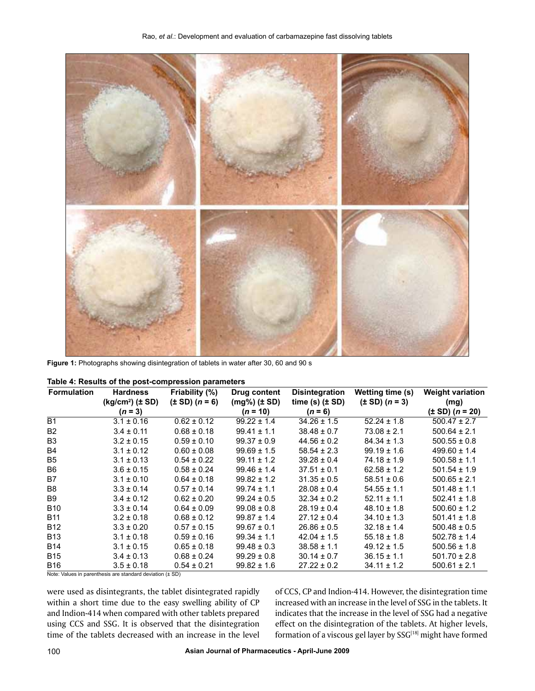

**Figure 1:** Photographs showing disintegration of tablets in water after 30, 60 and 90 s

| <b>Formulation</b> | <b>Hardness</b>        | Friability (%)             | Drug content         | <b>Disintegration</b> | Wetting time (s)           | <b>Weight variation</b>     |
|--------------------|------------------------|----------------------------|----------------------|-----------------------|----------------------------|-----------------------------|
|                    | $(kg/cm2)$ ( $\pm$ SD) | $(\pm SD)$ ( <i>n</i> = 6) | $(mg\%)$ ( $\pm$ SD) | time (s) $(\pm SD)$   | $(\pm SD)$ ( <i>n</i> = 3) | (mg)                        |
|                    | $(n = 3)$              |                            | $(n = 10)$           | $(n = 6)$             |                            | $(\pm SD)$ ( <i>n</i> = 20) |
| <b>B1</b>          | $3.1 \pm 0.16$         | $0.62 \pm 0.12$            | $99.22 \pm 1.4$      | $34.26 \pm 1.5$       | $52.24 \pm 1.8$            | $500.47 \pm 2.7$            |
| <b>B2</b>          | $3.4 \pm 0.11$         | $0.68 \pm 0.18$            | $99.41 \pm 1.1$      | $38.48 \pm 0.7$       | $73.08 \pm 2.1$            | $500.64 \pm 2.1$            |
| B <sub>3</sub>     | $3.2 \pm 0.15$         | $0.59 \pm 0.10$            | $99.37 \pm 0.9$      | $44.56 \pm 0.2$       | $84.34 \pm 1.3$            | $500.55 \pm 0.8$            |
| B4                 | $3.1 \pm 0.12$         | $0.60 \pm 0.08$            | $99.69 \pm 1.5$      | $58.54 \pm 2.3$       | $99.19 \pm 1.6$            | $499.60 \pm 1.4$            |
| B <sub>5</sub>     | $3.1 \pm 0.13$         | $0.54 \pm 0.22$            | $99.11 \pm 1.2$      | $39.28 \pm 0.4$       | $74.18 \pm 1.9$            | $500.58 \pm 1.1$            |
| B <sub>6</sub>     | $3.6 \pm 0.15$         | $0.58 \pm 0.24$            | $99.46 \pm 1.4$      | $37.51 \pm 0.1$       | $62.58 \pm 1.2$            | $501.54 \pm 1.9$            |
| B7                 | $3.1 \pm 0.10$         | $0.64 \pm 0.18$            | $99.82 \pm 1.2$      | $31.35 \pm 0.5$       | $58.51 \pm 0.6$            | $500.65 \pm 2.1$            |
| B <sub>8</sub>     | $3.3 \pm 0.14$         | $0.57 \pm 0.14$            | $99.74 \pm 1.1$      | $28.08 \pm 0.4$       | $54.55 \pm 1.1$            | $501.48 \pm 1.1$            |
| B9                 | $3.4 \pm 0.12$         | $0.62 \pm 0.20$            | $99.24 \pm 0.5$      | $32.34 \pm 0.2$       | $52.11 \pm 1.1$            | $502.41 \pm 1.8$            |
| <b>B10</b>         | $3.3 \pm 0.14$         | $0.64 \pm 0.09$            | $99.08 \pm 0.8$      | $28.19 \pm 0.4$       | $48.10 \pm 1.8$            | $500.60 \pm 1.2$            |
| <b>B11</b>         | $3.2 \pm 0.18$         | $0.68 \pm 0.12$            | $99.87 \pm 1.4$      | $27.12 \pm 0.4$       | $34.10 \pm 1.3$            | $501.41 \pm 1.8$            |
| <b>B12</b>         | $3.3 \pm 0.20$         | $0.57 \pm 0.15$            | $99.67 \pm 0.1$      | $26.86 \pm 0.5$       | $32.18 \pm 1.4$            | $500.48 \pm 0.5$            |
| <b>B13</b>         | $3.1 \pm 0.18$         | $0.59 \pm 0.16$            | $99.34 \pm 1.1$      | $42.04 \pm 1.5$       | $55.18 \pm 1.8$            | $502.78 \pm 1.4$            |
| <b>B14</b>         | $3.1 \pm 0.15$         | $0.65 \pm 0.18$            | $99.48 \pm 0.3$      | $38.58 \pm 1.1$       | $49.12 \pm 1.5$            | $500.56 \pm 1.8$            |
| <b>B15</b>         | $3.4 \pm 0.13$         | $0.68 \pm 0.24$            | $99.29 \pm 0.8$      | $30.14 \pm 0.7$       | $36.15 \pm 1.1$            | $501.70 \pm 2.8$            |
| <b>B16</b>         | $3.5 \pm 0.18$         | $0.54 \pm 0.21$            | $99.82 \pm 1.6$      | $27.22 \pm 0.2$       | $34.11 \pm 1.2$            | $500.61 \pm 2.1$            |

| Table 4: Results of the post-compression parameters |  |  |  |
|-----------------------------------------------------|--|--|--|
|-----------------------------------------------------|--|--|--|

Note: Values in parenthesis are standard deviation (± SD)

were used as disintegrants, the tablet disintegrated rapidly within a short time due to the easy swelling ability of CP and Indion-414 when compared with other tablets prepared using CCS and SSG. It is observed that the disintegration time of the tablets decreased with an increase in the level of CCS, CP and Indion-414. However, the disintegration time increased with an increase in the level of SSG in the tablets. It indicates that the increase in the level of SSG had a negative effect on the disintegration of the tablets. At higher levels, formation of a viscous gel layer by SSG<sup>[18]</sup> might have formed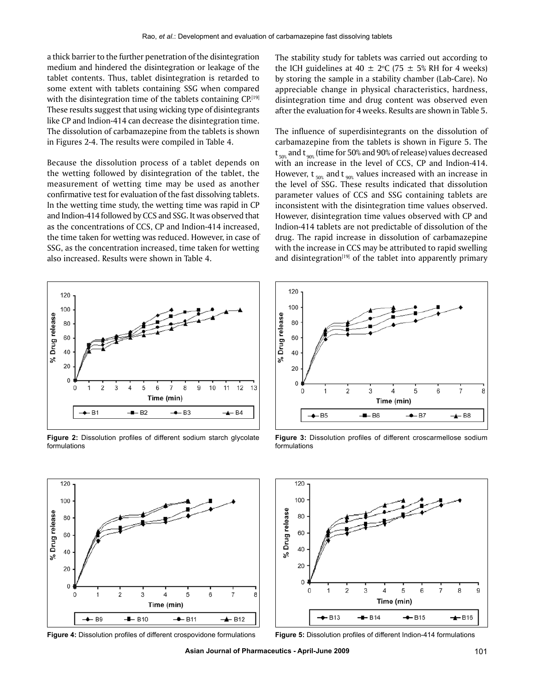a thick barrier to the further penetration of the disintegration medium and hindered the disintegration or leakage of the tablet contents. Thus, tablet disintegration is retarded to some extent with tablets containing SSG when compared with the disintegration time of the tablets containing CP.<sup>[19]</sup> These results suggest that using wicking type of disintegrants like CP and Indion-414 can decrease the disintegration time. The dissolution of carbamazepine from the tablets is shown in Figures 2-4. The results were compiled in Table 4.

Because the dissolution process of a tablet depends on the wetting followed by disintegration of the tablet, the measurement of wetting time may be used as another confirmative test for evaluation of the fast dissolving tablets. In the wetting time study, the wetting time was rapid in CP and Indion-414 followed by CCS and SSG. It was observed that as the concentrations of CCS, CP and Indion-414 increased, the time taken for wetting was reduced. However, in case of SSG, as the concentration increased, time taken for wetting also increased. Results were shown in Table 4.



**Figure 2:** Dissolution profiles of different sodium starch glycolate formulations



The influence of superdisintegrants on the dissolution of carbamazepine from the tablets is shown in Figure 5. The  $\bm{{\mathsf{t}}}_{\mathsf{50\%}}$  and  $\bm{{\mathsf{t}}}_{\mathsf{90\%}}$  (time for 50% and 90% of release) values decreased with an increase in the level of CCS, CP and Indion-414. However,  $t_{\text{so}}$  and  $t_{\text{so}}$  values increased with an increase in the level of SSG. These results indicated that dissolution parameter values of CCS and SSG containing tablets are inconsistent with the disintegration time values observed. However, disintegration time values observed with CP and Indion-414 tablets are not predictable of dissolution of the drug. The rapid increase in dissolution of carbamazepine with the increase in CCS may be attributed to rapid swelling and disintegration $[19]$  of the tablet into apparently primary



**Figure 3:** Dissolution profiles of different croscarmellose sodium formulations



**Figure 4:** Dissolution profiles of different crospovidone formulations **Figure 5:** Dissolution profiles of different Indion-414 formulations



**Asian Journal of Pharmaceutics - April-June 2009** 101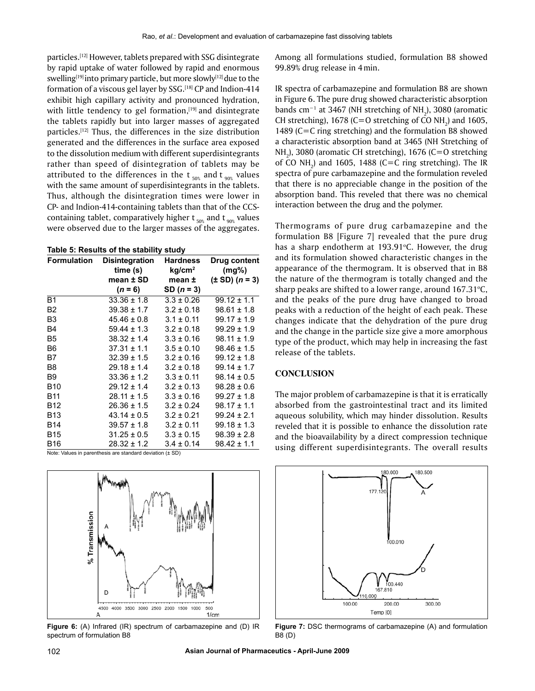particles.[12] However, tablets prepared with SSG disintegrate by rapid uptake of water followed by rapid and enormous swelling<sup>[19]</sup> into primary particle, but more slowly<sup>[12]</sup> due to the formation of a viscous gel layer by SSG.[18] CP and Indion-414 exhibit high capillary activity and pronounced hydration, with little tendency to gel formation,<sup>[19]</sup> and disintegrate the tablets rapidly but into larger masses of aggregated particles.[12] Thus, the differences in the size distribution generated and the differences in the surface area exposed to the dissolution medium with different superdisintegrants rather than speed of disintegration of tablets may be attributed to the differences in the  $t_{50\%}$  and  $t_{90\%}$  values with the same amount of superdisintegrants in the tablets. Thus, although the disintegration times were lower in CP- and Indion-414-containing tablets than that of the CCScontaining tablet, comparatively higher  $t_{\text{50\%}}$  and  $t_{\text{90\%}}$  values were observed due to the larger masses of the aggregates.

**Table 5: Results of the stability study**

| <b>Formulation</b> | <b>Disintegration</b><br>time (s) | <b>Hardness</b><br>kg/cm <sup>2</sup> | Drug content<br>$(mq\%)$   |
|--------------------|-----------------------------------|---------------------------------------|----------------------------|
|                    | mean ± SD                         | mean ±                                | $(\pm SD)$ ( <i>n</i> = 3) |
|                    | $(n = 6)$                         | $SD (n = 3)$                          |                            |
| <b>B1</b>          | $33.36 \pm 1.8$                   | $3.3 \pm 0.26$                        | $99.12 \pm 1.1$            |
| B <sub>2</sub>     | $39.38 \pm 1.7$                   | $3.2 \pm 0.18$                        | $98.61 \pm 1.8$            |
| B <sub>3</sub>     | $45.46 \pm 0.8$                   | $3.1 \pm 0.11$                        | $99.17 \pm 1.9$            |
| B <sub>4</sub>     | $59.44 \pm 1.3$                   | $3.2 \pm 0.18$                        | $99.29 \pm 1.9$            |
| B <sub>5</sub>     | $38.32 \pm 1.4$                   | $3.3 \pm 0.16$                        | $98.11 \pm 1.9$            |
| B6                 | $37.31 \pm 1.1$                   | $3.5 \pm 0.10$                        | $98.46 \pm 1.5$            |
| B7                 | $32.39 \pm 1.5$                   | $3.2 \pm 0.16$                        | $99.12 \pm 1.8$            |
| B8                 | $29.18 \pm 1.4$                   | $3.2 \pm 0.18$                        | $99.14 \pm 1.7$            |
| B9                 | $33.36 \pm 1.2$                   | $3.3 \pm 0.11$                        | $98.14 \pm 0.5$            |
| <b>B10</b>         | $29.12 \pm 1.4$                   | $3.2 \pm 0.13$                        | $98.28 \pm 0.6$            |
| <b>B11</b>         | $28.11 \pm 1.5$                   | $3.3 \pm 0.16$                        | $99.27 \pm 1.8$            |
| <b>B12</b>         | $26.36 \pm 1.5$                   | $3.2 \pm 0.24$                        | $98.17 \pm 1.1$            |
| <b>B13</b>         | $43.14 \pm 0.5$                   | $3.2 \pm 0.21$                        | $99.24 \pm 2.1$            |
| <b>B14</b>         | $39.57 \pm 1.8$                   | $3.2 \pm 0.11$                        | $99.18 \pm 1.3$            |
| B15                | $31.25 \pm 0.5$                   | $3.3 \pm 0.15$                        | $98.39 \pm 2.8$            |
| B16                | $28.32 \pm 1.2$                   | $3.4 \pm 0.14$                        | $98.42 \pm 1.1$            |

Note: Values in parenthesis are standard deviation (± SD)



**Figure 6:** (A) Infrared (IR) spectrum of carbamazepine and (D) IR spectrum of formulation B8

Among all formulations studied, formulation B8 showed 99.89% drug release in 4min.

IR spectra of carbamazepine and formulation B8 are shown in Figure 6. The pure drug showed characteristic absorption bands cm<sup>−1</sup> at 3467 (NH stretching of NH<sub>2</sub>), 3080 (aromatic CH stretching), 1678 (C=O stretching of CO  $NH_2$ ) and 1605, 1489 (C=C ring stretching) and the formulation B8 showed a characteristic absorption band at 3465 (NH Stretching of NH<sub>2</sub>), 3080 (aromatic CH stretching), 1676 (C=O stretching of CO  $NH_2$ ) and 1605, 1488 (C=C ring stretching). The IR spectra of pure carbamazepine and the formulation reveled that there is no appreciable change in the position of the absorption band. This reveled that there was no chemical interaction between the drug and the polymer.

Thermograms of pure drug carbamazepine and the formulation B8 [Figure 7] revealed that the pure drug has a sharp endotherm at 193.91°C. However, the drug and its formulation showed characteristic changes in the appearance of the thermogram. It is observed that in B8 the nature of the thermogram is totally changed and the sharp peaks are shifted to a lower range, around  $167.31^{\circ}$ C, and the peaks of the pure drug have changed to broad peaks with a reduction of the height of each peak. These changes indicate that the dehydration of the pure drug and the change in the particle size give a more amorphous type of the product, which may help in increasing the fast release of the tablets.

# **CONCLUSION**

The major problem of carbamazepine is that it is erratically absorbed from the gastrointestinal tract and its limited aqueous solubility, which may hinder dissolution. Results reveled that it is possible to enhance the dissolution rate and the bioavailability by a direct compression technique using different superdisintegrants. The overall results



Figure 7: DSC thermograms of carbamazepine (A) and formulation B8 (d)